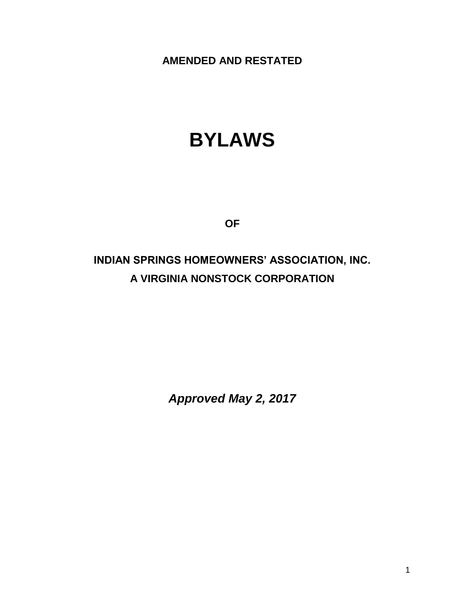**AMENDED AND RESTATED**

# **BYLAWS**

**OF**

# **INDIAN SPRINGS HOMEOWNERS' ASSOCIATION, INC. A VIRGINIA NONSTOCK CORPORATION**

*Approved May 2, 2017*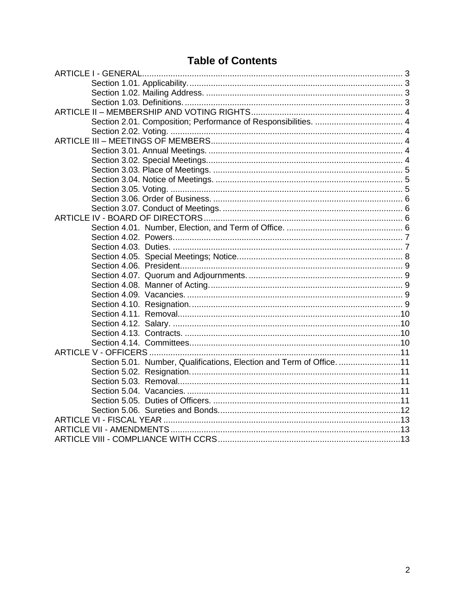## **Table of Contents**

| Section 5.01. Number, Qualifications, Election and Term of Office. 11 |  |
|-----------------------------------------------------------------------|--|
|                                                                       |  |
|                                                                       |  |
|                                                                       |  |
|                                                                       |  |
|                                                                       |  |
|                                                                       |  |
|                                                                       |  |
|                                                                       |  |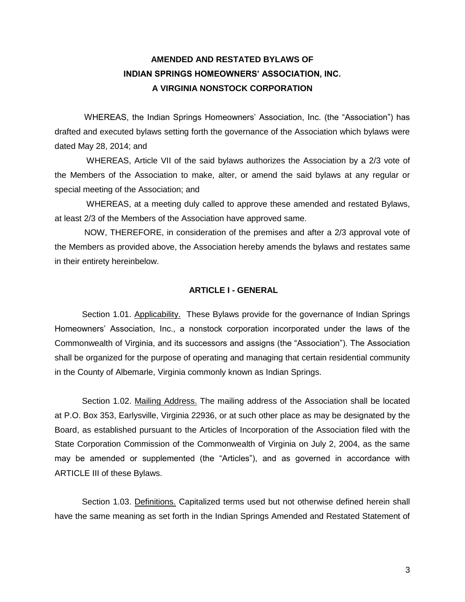### **AMENDED AND RESTATED BYLAWS OF INDIAN SPRINGS HOMEOWNERS' ASSOCIATION, INC. A VIRGINIA NONSTOCK CORPORATION**

WHEREAS, the Indian Springs Homeowners' Association, Inc. (the "Association") has drafted and executed bylaws setting forth the governance of the Association which bylaws were dated May 28, 2014; and

 WHEREAS, Article VII of the said bylaws authorizes the Association by a 2/3 vote of the Members of the Association to make, alter, or amend the said bylaws at any regular or special meeting of the Association; and

 WHEREAS, at a meeting duly called to approve these amended and restated Bylaws, at least 2/3 of the Members of the Association have approved same.

NOW, THEREFORE, in consideration of the premises and after a 2/3 approval vote of the Members as provided above, the Association hereby amends the bylaws and restates same in their entirety hereinbelow.

#### <span id="page-2-0"></span>**ARTICLE I - GENERAL**

<span id="page-2-1"></span>Section 1.01. Applicability. These Bylaws provide for the governance of Indian Springs Homeowners' Association, Inc., a nonstock corporation incorporated under the laws of the Commonwealth of Virginia, and its successors and assigns (the "Association"). The Association shall be organized for the purpose of operating and managing that certain residential community in the County of Albemarle, Virginia commonly known as Indian Springs.

<span id="page-2-2"></span>Section 1.02. Mailing Address. The mailing address of the Association shall be located at P.O. Box 353, Earlysville, Virginia 22936, or at such other place as may be designated by the Board, as established pursuant to the Articles of Incorporation of the Association filed with the State Corporation Commission of the Commonwealth of Virginia on July 2, 2004, as the same may be amended or supplemented (the "Articles"), and as governed in accordance with ARTICLE III of these Bylaws.

<span id="page-2-3"></span>Section 1.03. Definitions. Capitalized terms used but not otherwise defined herein shall have the same meaning as set forth in the Indian Springs Amended and Restated Statement of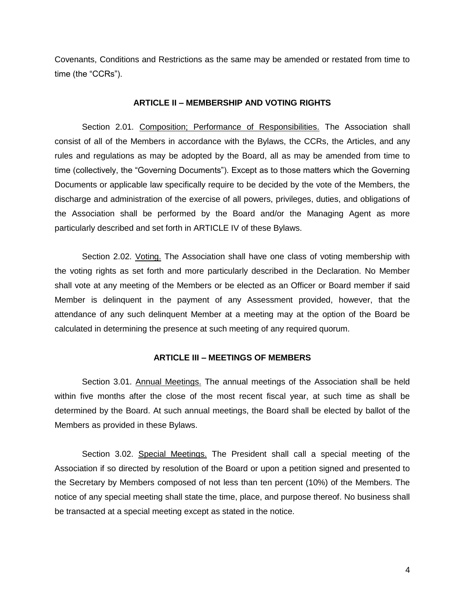Covenants, Conditions and Restrictions as the same may be amended or restated from time to time (the "CCRs").

#### **ARTICLE II – MEMBERSHIP AND VOTING RIGHTS**

<span id="page-3-1"></span><span id="page-3-0"></span>Section 2.01. Composition; Performance of Responsibilities. The Association shall consist of all of the Members in accordance with the Bylaws, the CCRs, the Articles, and any rules and regulations as may be adopted by the Board, all as may be amended from time to time (collectively, the "Governing Documents"). Except as to those matters which the Governing Documents or applicable law specifically require to be decided by the vote of the Members, the discharge and administration of the exercise of all powers, privileges, duties, and obligations of the Association shall be performed by the Board and/or the Managing Agent as more particularly described and set forth in ARTICLE IV of these Bylaws.

<span id="page-3-2"></span>Section 2.02. Voting. The Association shall have one class of voting membership with the voting rights as set forth and more particularly described in the Declaration. No Member shall vote at any meeting of the Members or be elected as an Officer or Board member if said Member is delinquent in the payment of any Assessment provided, however, that the attendance of any such delinquent Member at a meeting may at the option of the Board be calculated in determining the presence at such meeting of any required quorum.

#### **ARTICLE III – MEETINGS OF MEMBERS**

<span id="page-3-4"></span><span id="page-3-3"></span>Section 3.01. Annual Meetings. The annual meetings of the Association shall be held within five months after the close of the most recent fiscal year, at such time as shall be determined by the Board. At such annual meetings, the Board shall be elected by ballot of the Members as provided in these Bylaws.

<span id="page-3-5"></span>Section 3.02. Special Meetings. The President shall call a special meeting of the Association if so directed by resolution of the Board or upon a petition signed and presented to the Secretary by Members composed of not less than ten percent (10%) of the Members. The notice of any special meeting shall state the time, place, and purpose thereof. No business shall be transacted at a special meeting except as stated in the notice.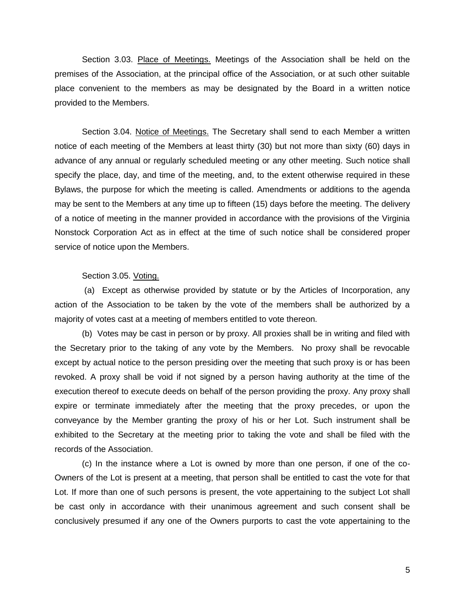<span id="page-4-0"></span>Section 3.03. Place of Meetings. Meetings of the Association shall be held on the premises of the Association, at the principal office of the Association, or at such other suitable place convenient to the members as may be designated by the Board in a written notice provided to the Members.

<span id="page-4-1"></span>Section 3.04. Notice of Meetings. The Secretary shall send to each Member a written notice of each meeting of the Members at least thirty (30) but not more than sixty (60) days in advance of any annual or regularly scheduled meeting or any other meeting. Such notice shall specify the place, day, and time of the meeting, and, to the extent otherwise required in these Bylaws, the purpose for which the meeting is called. Amendments or additions to the agenda may be sent to the Members at any time up to fifteen (15) days before the meeting. The delivery of a notice of meeting in the manner provided in accordance with the provisions of the Virginia Nonstock Corporation Act as in effect at the time of such notice shall be considered proper service of notice upon the Members.

#### Section 3.05. Voting.

<span id="page-4-2"></span>(a) Except as otherwise provided by statute or by the Articles of Incorporation, any action of the Association to be taken by the vote of the members shall be authorized by a majority of votes cast at a meeting of members entitled to vote thereon.

(b) Votes may be cast in person or by proxy. All proxies shall be in writing and filed with the Secretary prior to the taking of any vote by the Members. No proxy shall be revocable except by actual notice to the person presiding over the meeting that such proxy is or has been revoked. A proxy shall be void if not signed by a person having authority at the time of the execution thereof to execute deeds on behalf of the person providing the proxy. Any proxy shall expire or terminate immediately after the meeting that the proxy precedes, or upon the conveyance by the Member granting the proxy of his or her Lot. Such instrument shall be exhibited to the Secretary at the meeting prior to taking the vote and shall be filed with the records of the Association.

(c) In the instance where a Lot is owned by more than one person, if one of the co-Owners of the Lot is present at a meeting, that person shall be entitled to cast the vote for that Lot. If more than one of such persons is present, the vote appertaining to the subject Lot shall be cast only in accordance with their unanimous agreement and such consent shall be conclusively presumed if any one of the Owners purports to cast the vote appertaining to the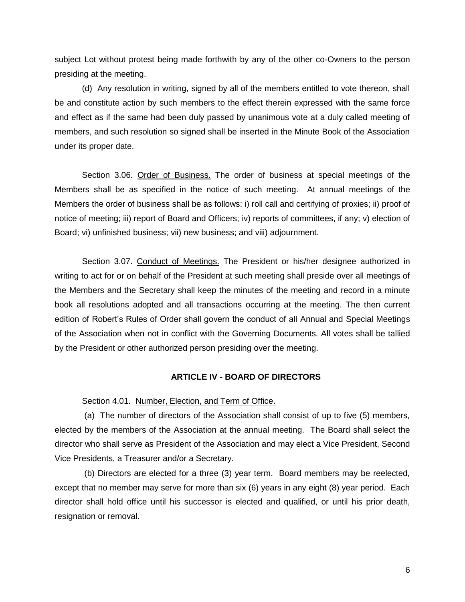subject Lot without protest being made forthwith by any of the other co-Owners to the person presiding at the meeting.

(d) Any resolution in writing, signed by all of the members entitled to vote thereon, shall be and constitute action by such members to the effect therein expressed with the same force and effect as if the same had been duly passed by unanimous vote at a duly called meeting of members, and such resolution so signed shall be inserted in the Minute Book of the Association under its proper date.

<span id="page-5-0"></span>Section 3.06. Order of Business. The order of business at special meetings of the Members shall be as specified in the notice of such meeting. At annual meetings of the Members the order of business shall be as follows: i) roll call and certifying of proxies; ii) proof of notice of meeting; iii) report of Board and Officers; iv) reports of committees, if any; v) election of Board; vi) unfinished business; vii) new business; and viii) adjournment.

<span id="page-5-1"></span>Section 3.07. Conduct of Meetings. The President or his/her designee authorized in writing to act for or on behalf of the President at such meeting shall preside over all meetings of the Members and the Secretary shall keep the minutes of the meeting and record in a minute book all resolutions adopted and all transactions occurring at the meeting. The then current edition of Robert's Rules of Order shall govern the conduct of all Annual and Special Meetings of the Association when not in conflict with the Governing Documents. All votes shall be tallied by the President or other authorized person presiding over the meeting.

#### **ARTICLE IV - BOARD OF DIRECTORS**

<span id="page-5-2"></span>Section 4.01. Number, Election, and Term of Office.

<span id="page-5-3"></span>(a) The number of directors of the Association shall consist of up to five (5) members, elected by the members of the Association at the annual meeting. The Board shall select the director who shall serve as President of the Association and may elect a Vice President, Second Vice Presidents, a Treasurer and/or a Secretary.

(b) Directors are elected for a three (3) year term. Board members may be reelected, except that no member may serve for more than six (6) years in any eight (8) year period. Each director shall hold office until his successor is elected and qualified, or until his prior death, resignation or removal.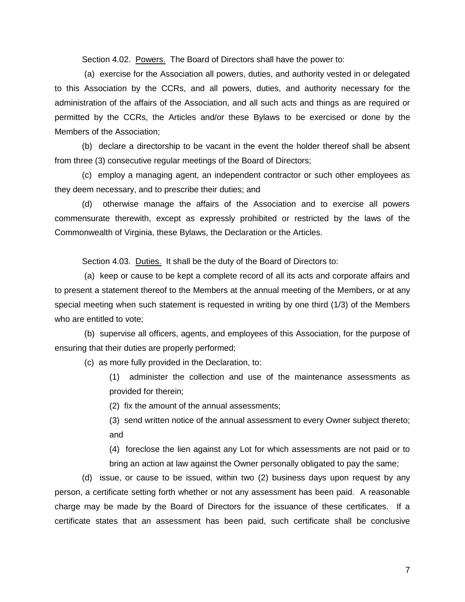Section 4.02. Powers. The Board of Directors shall have the power to:

<span id="page-6-0"></span>(a) exercise for the Association all powers, duties, and authority vested in or delegated to this Association by the CCRs, and all powers, duties, and authority necessary for the administration of the affairs of the Association, and all such acts and things as are required or permitted by the CCRs, the Articles and/or these Bylaws to be exercised or done by the Members of the Association;

(b) declare a directorship to be vacant in the event the holder thereof shall be absent from three (3) consecutive regular meetings of the Board of Directors;

(c) employ a managing agent, an independent contractor or such other employees as they deem necessary, and to prescribe their duties; and

(d) otherwise manage the affairs of the Association and to exercise all powers commensurate therewith, except as expressly prohibited or restricted by the laws of the Commonwealth of Virginia, these Bylaws, the Declaration or the Articles.

Section 4.03. Duties. It shall be the duty of the Board of Directors to:

<span id="page-6-1"></span>(a) keep or cause to be kept a complete record of all its acts and corporate affairs and to present a statement thereof to the Members at the annual meeting of the Members, or at any special meeting when such statement is requested in writing by one third (1/3) of the Members who are entitled to vote;

(b) supervise all officers, agents, and employees of this Association, for the purpose of ensuring that their duties are properly performed;

(c) as more fully provided in the Declaration, to:

(1) administer the collection and use of the maintenance assessments as provided for therein;

(2) fix the amount of the annual assessments;

(3) send written notice of the annual assessment to every Owner subject thereto; and

(4) foreclose the lien against any Lot for which assessments are not paid or to bring an action at law against the Owner personally obligated to pay the same;

(d) issue, or cause to be issued, within two (2) business days upon request by any person, a certificate setting forth whether or not any assessment has been paid. A reasonable charge may be made by the Board of Directors for the issuance of these certificates. If a certificate states that an assessment has been paid, such certificate shall be conclusive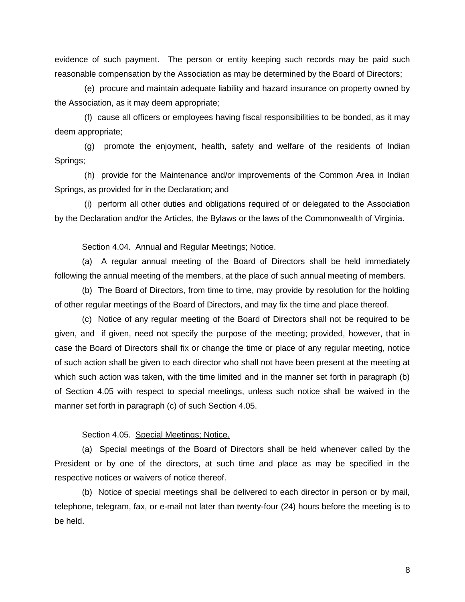evidence of such payment. The person or entity keeping such records may be paid such reasonable compensation by the Association as may be determined by the Board of Directors;

(e) procure and maintain adequate liability and hazard insurance on property owned by the Association, as it may deem appropriate;

(f) cause all officers or employees having fiscal responsibilities to be bonded, as it may deem appropriate;

(g) promote the enjoyment, health, safety and welfare of the residents of Indian Springs;

(h) provide for the Maintenance and/or improvements of the Common Area in Indian Springs, as provided for in the Declaration; and

(i) perform all other duties and obligations required of or delegated to the Association by the Declaration and/or the Articles, the Bylaws or the laws of the Commonwealth of Virginia.

Section 4.04. Annual and Regular Meetings; Notice.

(a) A regular annual meeting of the Board of Directors shall be held immediately following the annual meeting of the members, at the place of such annual meeting of members.

(b) The Board of Directors, from time to time, may provide by resolution for the holding of other regular meetings of the Board of Directors, and may fix the time and place thereof.

(c) Notice of any regular meeting of the Board of Directors shall not be required to be given, and if given, need not specify the purpose of the meeting; provided, however, that in case the Board of Directors shall fix or change the time or place of any regular meeting, notice of such action shall be given to each director who shall not have been present at the meeting at which such action was taken, with the time limited and in the manner set forth in paragraph (b) of Section 4.05 with respect to special meetings, unless such notice shall be waived in the manner set forth in paragraph (c) of such Section 4.05.

#### Section 4.05. Special Meetings; Notice.

<span id="page-7-0"></span>(a) Special meetings of the Board of Directors shall be held whenever called by the President or by one of the directors, at such time and place as may be specified in the respective notices or waivers of notice thereof.

(b) Notice of special meetings shall be delivered to each director in person or by mail, telephone, telegram, fax, or e-mail not later than twenty-four (24) hours before the meeting is to be held.

8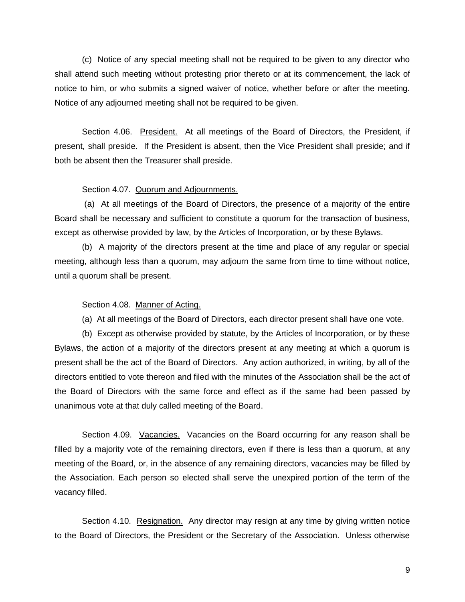(c) Notice of any special meeting shall not be required to be given to any director who shall attend such meeting without protesting prior thereto or at its commencement, the lack of notice to him, or who submits a signed waiver of notice, whether before or after the meeting. Notice of any adjourned meeting shall not be required to be given.

<span id="page-8-0"></span>Section 4.06. President. At all meetings of the Board of Directors, the President, if present, shall preside. If the President is absent, then the Vice President shall preside; and if both be absent then the Treasurer shall preside.

#### Section 4.07. Quorum and Adjournments.

<span id="page-8-1"></span>(a) At all meetings of the Board of Directors, the presence of a majority of the entire Board shall be necessary and sufficient to constitute a quorum for the transaction of business, except as otherwise provided by law, by the Articles of Incorporation, or by these Bylaws.

(b) A majority of the directors present at the time and place of any regular or special meeting, although less than a quorum, may adjourn the same from time to time without notice, until a quorum shall be present.

#### <span id="page-8-2"></span>Section 4.08. Manner of Acting.

(a) At all meetings of the Board of Directors, each director present shall have one vote.

(b) Except as otherwise provided by statute, by the Articles of Incorporation, or by these Bylaws, the action of a majority of the directors present at any meeting at which a quorum is present shall be the act of the Board of Directors. Any action authorized, in writing, by all of the directors entitled to vote thereon and filed with the minutes of the Association shall be the act of the Board of Directors with the same force and effect as if the same had been passed by unanimous vote at that duly called meeting of the Board.

<span id="page-8-3"></span>Section 4.09. Vacancies. Vacancies on the Board occurring for any reason shall be filled by a majority vote of the remaining directors, even if there is less than a quorum, at any meeting of the Board, or, in the absence of any remaining directors, vacancies may be filled by the Association. Each person so elected shall serve the unexpired portion of the term of the vacancy filled.

<span id="page-8-4"></span>Section 4.10. Resignation. Any director may resign at any time by giving written notice to the Board of Directors, the President or the Secretary of the Association. Unless otherwise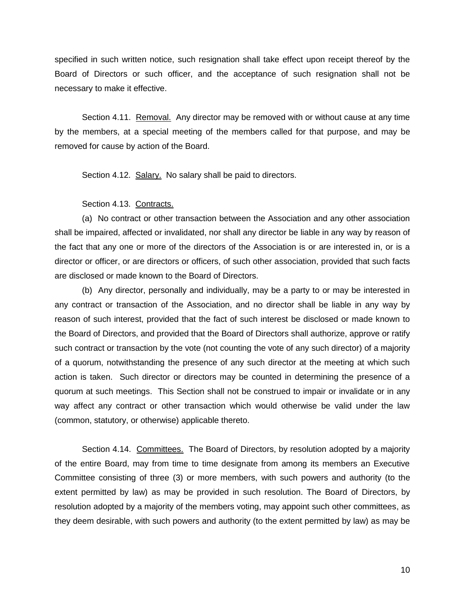specified in such written notice, such resignation shall take effect upon receipt thereof by the Board of Directors or such officer, and the acceptance of such resignation shall not be necessary to make it effective.

<span id="page-9-0"></span>Section 4.11. Removal. Any director may be removed with or without cause at any time by the members, at a special meeting of the members called for that purpose, and may be removed for cause by action of the Board.

<span id="page-9-1"></span>Section 4.12. Salary. No salary shall be paid to directors.

#### Section 4.13. Contracts.

<span id="page-9-2"></span>(a) No contract or other transaction between the Association and any other association shall be impaired, affected or invalidated, nor shall any director be liable in any way by reason of the fact that any one or more of the directors of the Association is or are interested in, or is a director or officer, or are directors or officers, of such other association, provided that such facts are disclosed or made known to the Board of Directors.

(b) Any director, personally and individually, may be a party to or may be interested in any contract or transaction of the Association, and no director shall be liable in any way by reason of such interest, provided that the fact of such interest be disclosed or made known to the Board of Directors, and provided that the Board of Directors shall authorize, approve or ratify such contract or transaction by the vote (not counting the vote of any such director) of a majority of a quorum, notwithstanding the presence of any such director at the meeting at which such action is taken. Such director or directors may be counted in determining the presence of a quorum at such meetings. This Section shall not be construed to impair or invalidate or in any way affect any contract or other transaction which would otherwise be valid under the law (common, statutory, or otherwise) applicable thereto.

<span id="page-9-3"></span>Section 4.14. Committees. The Board of Directors, by resolution adopted by a majority of the entire Board, may from time to time designate from among its members an Executive Committee consisting of three (3) or more members, with such powers and authority (to the extent permitted by law) as may be provided in such resolution. The Board of Directors, by resolution adopted by a majority of the members voting, may appoint such other committees, as they deem desirable, with such powers and authority (to the extent permitted by law) as may be

10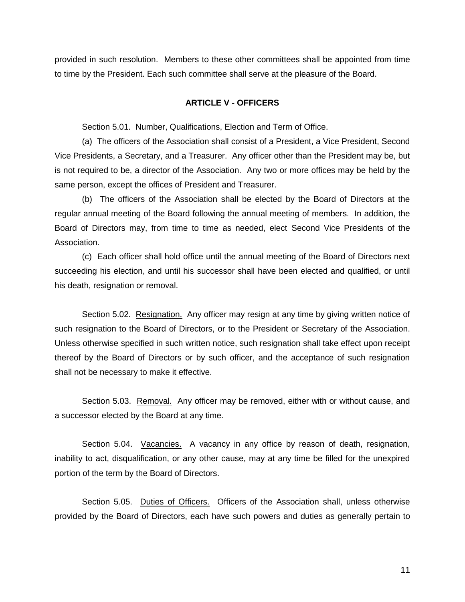provided in such resolution. Members to these other committees shall be appointed from time to time by the President. Each such committee shall serve at the pleasure of the Board.

#### **ARTICLE V - OFFICERS**

<span id="page-10-0"></span>Section 5.01. Number, Qualifications, Election and Term of Office.

<span id="page-10-1"></span>(a) The officers of the Association shall consist of a President, a Vice President, Second Vice Presidents, a Secretary, and a Treasurer. Any officer other than the President may be, but is not required to be, a director of the Association. Any two or more offices may be held by the same person, except the offices of President and Treasurer.

(b) The officers of the Association shall be elected by the Board of Directors at the regular annual meeting of the Board following the annual meeting of members. In addition, the Board of Directors may, from time to time as needed, elect Second Vice Presidents of the Association.

(c) Each officer shall hold office until the annual meeting of the Board of Directors next succeeding his election, and until his successor shall have been elected and qualified, or until his death, resignation or removal.

<span id="page-10-2"></span>Section 5.02. Resignation. Any officer may resign at any time by giving written notice of such resignation to the Board of Directors, or to the President or Secretary of the Association. Unless otherwise specified in such written notice, such resignation shall take effect upon receipt thereof by the Board of Directors or by such officer, and the acceptance of such resignation shall not be necessary to make it effective.

<span id="page-10-3"></span>Section 5.03. Removal. Any officer may be removed, either with or without cause, and a successor elected by the Board at any time.

<span id="page-10-4"></span>Section 5.04. Vacancies. A vacancy in any office by reason of death, resignation, inability to act, disqualification, or any other cause, may at any time be filled for the unexpired portion of the term by the Board of Directors.

<span id="page-10-5"></span>Section 5.05. Duties of Officers. Officers of the Association shall, unless otherwise provided by the Board of Directors, each have such powers and duties as generally pertain to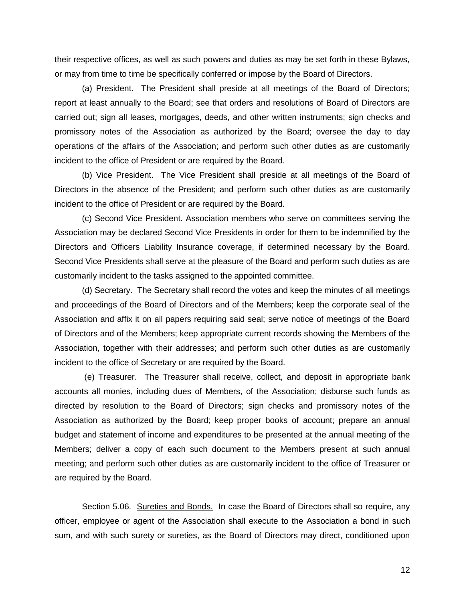their respective offices, as well as such powers and duties as may be set forth in these Bylaws, or may from time to time be specifically conferred or impose by the Board of Directors.

(a) President. The President shall preside at all meetings of the Board of Directors; report at least annually to the Board; see that orders and resolutions of Board of Directors are carried out; sign all leases, mortgages, deeds, and other written instruments; sign checks and promissory notes of the Association as authorized by the Board; oversee the day to day operations of the affairs of the Association; and perform such other duties as are customarily incident to the office of President or are required by the Board.

(b) Vice President. The Vice President shall preside at all meetings of the Board of Directors in the absence of the President; and perform such other duties as are customarily incident to the office of President or are required by the Board.

(c) Second Vice President. Association members who serve on committees serving the Association may be declared Second Vice Presidents in order for them to be indemnified by the Directors and Officers Liability Insurance coverage, if determined necessary by the Board. Second Vice Presidents shall serve at the pleasure of the Board and perform such duties as are customarily incident to the tasks assigned to the appointed committee.

(d) Secretary. The Secretary shall record the votes and keep the minutes of all meetings and proceedings of the Board of Directors and of the Members; keep the corporate seal of the Association and affix it on all papers requiring said seal; serve notice of meetings of the Board of Directors and of the Members; keep appropriate current records showing the Members of the Association, together with their addresses; and perform such other duties as are customarily incident to the office of Secretary or are required by the Board.

(e) Treasurer. The Treasurer shall receive, collect, and deposit in appropriate bank accounts all monies, including dues of Members, of the Association; disburse such funds as directed by resolution to the Board of Directors; sign checks and promissory notes of the Association as authorized by the Board; keep proper books of account; prepare an annual budget and statement of income and expenditures to be presented at the annual meeting of the Members; deliver a copy of each such document to the Members present at such annual meeting; and perform such other duties as are customarily incident to the office of Treasurer or are required by the Board.

<span id="page-11-0"></span>Section 5.06. Sureties and Bonds. In case the Board of Directors shall so require, any officer, employee or agent of the Association shall execute to the Association a bond in such sum, and with such surety or sureties, as the Board of Directors may direct, conditioned upon